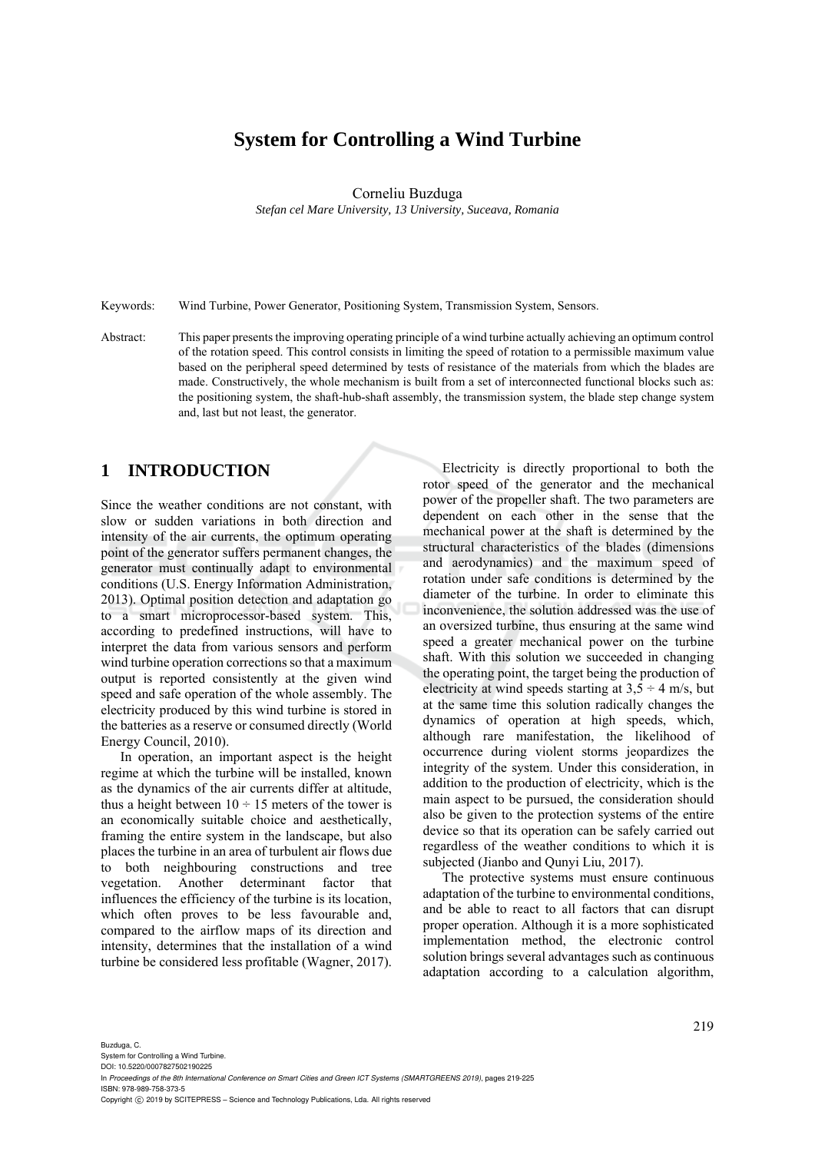# **System for Controlling a Wind Turbine**

### Corneliu Buzduga

*Stefan cel Mare University, 13 University, Suceava, Romania* 

Keywords: Wind Turbine, Power Generator, Positioning System, Transmission System, Sensors.

Abstract: This paper presents the improving operating principle of a wind turbine actually achieving an optimum control of the rotation speed. This control consists in limiting the speed of rotation to a permissible maximum value based on the peripheral speed determined by tests of resistance of the materials from which the blades are made. Constructively, the whole mechanism is built from a set of interconnected functional blocks such as: the positioning system, the shaft-hub-shaft assembly, the transmission system, the blade step change system and, last but not least, the generator.

## **1 INTRODUCTION**

Since the weather conditions are not constant, with slow or sudden variations in both direction and intensity of the air currents, the optimum operating point of the generator suffers permanent changes, the generator must continually adapt to environmental conditions (U.S. Energy Information Administration, 2013). Optimal position detection and adaptation go to a smart microprocessor-based system. This, according to predefined instructions, will have to interpret the data from various sensors and perform wind turbine operation corrections so that a maximum output is reported consistently at the given wind speed and safe operation of the whole assembly. The electricity produced by this wind turbine is stored in the batteries as a reserve or consumed directly (World Energy Council, 2010).

In operation, an important aspect is the height regime at which the turbine will be installed, known as the dynamics of the air currents differ at altitude, thus a height between  $10 \div 15$  meters of the tower is an economically suitable choice and aesthetically, framing the entire system in the landscape, but also places the turbine in an area of turbulent air flows due to both neighbouring constructions and tree vegetation. Another determinant factor that influences the efficiency of the turbine is its location, which often proves to be less favourable and, compared to the airflow maps of its direction and intensity, determines that the installation of a wind turbine be considered less profitable (Wagner, 2017).

Electricity is directly proportional to both the rotor speed of the generator and the mechanical power of the propeller shaft. The two parameters are dependent on each other in the sense that the mechanical power at the shaft is determined by the structural characteristics of the blades (dimensions and aerodynamics) and the maximum speed of rotation under safe conditions is determined by the diameter of the turbine. In order to eliminate this inconvenience, the solution addressed was the use of an oversized turbine, thus ensuring at the same wind speed a greater mechanical power on the turbine shaft. With this solution we succeeded in changing the operating point, the target being the production of electricity at wind speeds starting at  $3.5 \div 4$  m/s, but at the same time this solution radically changes the dynamics of operation at high speeds, which, although rare manifestation, the likelihood of occurrence during violent storms jeopardizes the integrity of the system. Under this consideration, in addition to the production of electricity, which is the main aspect to be pursued, the consideration should also be given to the protection systems of the entire device so that its operation can be safely carried out regardless of the weather conditions to which it is subjected (Jianbo and Qunyi Liu, 2017).

The protective systems must ensure continuous adaptation of the turbine to environmental conditions, and be able to react to all factors that can disrupt proper operation. Although it is a more sophisticated implementation method, the electronic control solution brings several advantages such as continuous adaptation according to a calculation algorithm,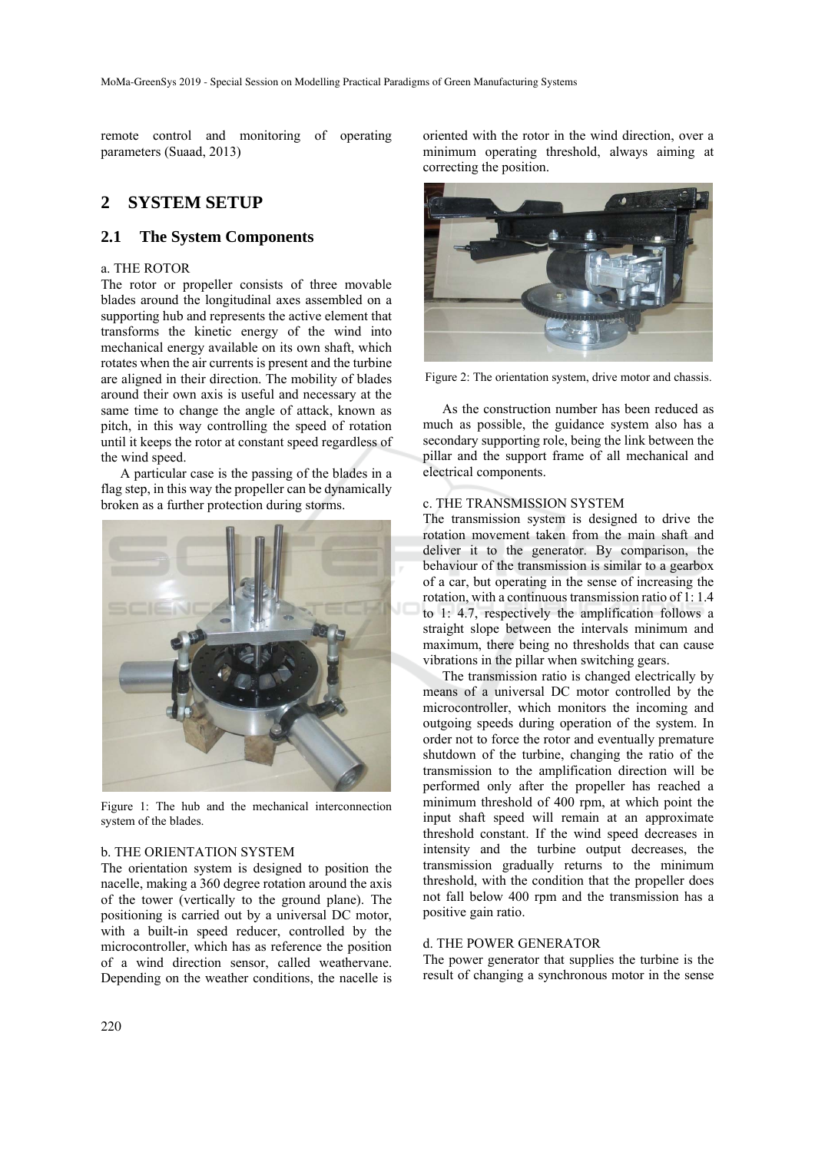remote control and monitoring of operating parameters (Suaad, 2013)

## **2 SYSTEM SETUP**

### **2.1 The System Components**

### a. THE ROTOR

The rotor or propeller consists of three movable blades around the longitudinal axes assembled on a supporting hub and represents the active element that transforms the kinetic energy of the wind into mechanical energy available on its own shaft, which rotates when the air currents is present and the turbine are aligned in their direction. The mobility of blades around their own axis is useful and necessary at the same time to change the angle of attack, known as pitch, in this way controlling the speed of rotation until it keeps the rotor at constant speed regardless of the wind speed.

A particular case is the passing of the blades in a flag step, in this way the propeller can be dynamically broken as a further protection during storms.



Figure 1: The hub and the mechanical interconnection system of the blades.

### b. THE ORIENTATION SYSTEM

The orientation system is designed to position the nacelle, making a 360 degree rotation around the axis of the tower (vertically to the ground plane). The positioning is carried out by a universal DC motor, with a built-in speed reducer, controlled by the microcontroller, which has as reference the position of a wind direction sensor, called weathervane. Depending on the weather conditions, the nacelle is oriented with the rotor in the wind direction, over a minimum operating threshold, always aiming at correcting the position.



Figure 2: The orientation system, drive motor and chassis.

As the construction number has been reduced as much as possible, the guidance system also has a secondary supporting role, being the link between the pillar and the support frame of all mechanical and electrical components.

### c. THE TRANSMISSION SYSTEM

The transmission system is designed to drive the rotation movement taken from the main shaft and deliver it to the generator. By comparison, the behaviour of the transmission is similar to a gearbox of a car, but operating in the sense of increasing the rotation, with a continuous transmission ratio of 1: 1.4 to 1: 4.7, respectively the amplification follows a straight slope between the intervals minimum and maximum, there being no thresholds that can cause vibrations in the pillar when switching gears.

The transmission ratio is changed electrically by means of a universal DC motor controlled by the microcontroller, which monitors the incoming and outgoing speeds during operation of the system. In order not to force the rotor and eventually premature shutdown of the turbine, changing the ratio of the transmission to the amplification direction will be performed only after the propeller has reached a minimum threshold of 400 rpm, at which point the input shaft speed will remain at an approximate threshold constant. If the wind speed decreases in intensity and the turbine output decreases, the transmission gradually returns to the minimum threshold, with the condition that the propeller does not fall below 400 rpm and the transmission has a positive gain ratio.

#### d. THE POWER GENERATOR

The power generator that supplies the turbine is the result of changing a synchronous motor in the sense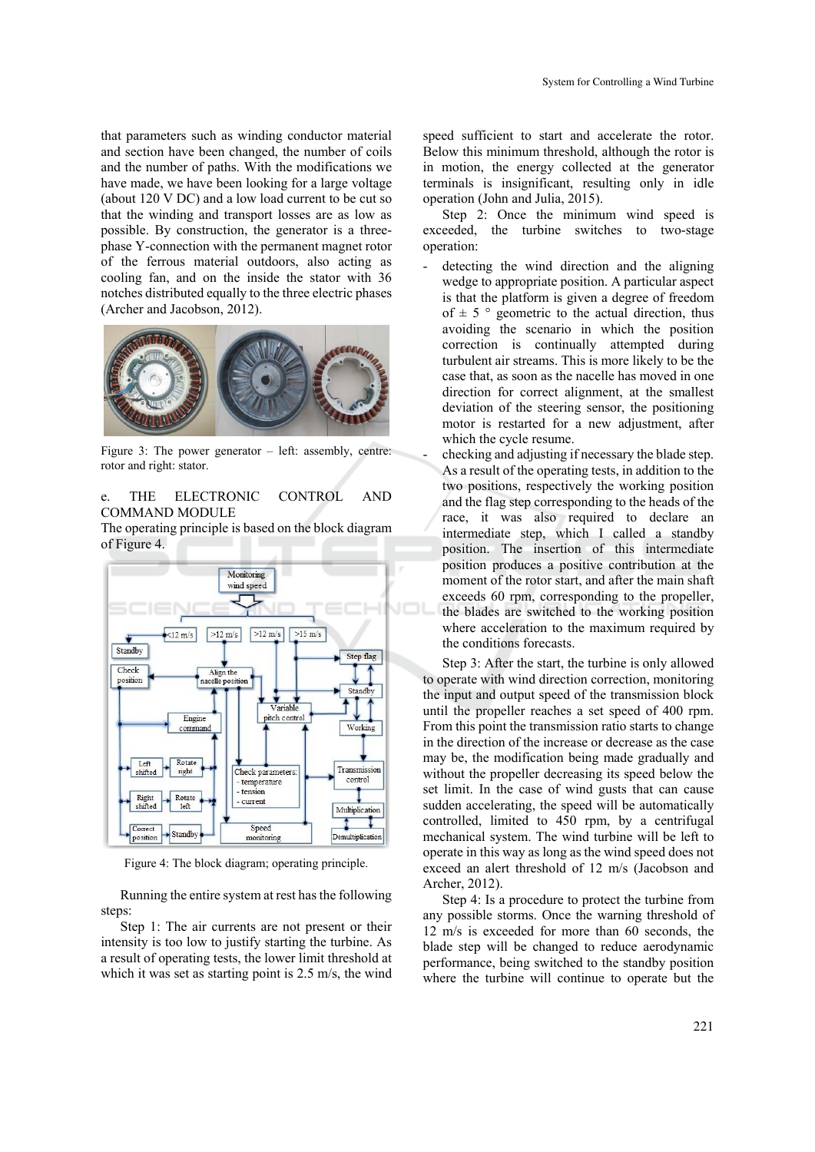that parameters such as winding conductor material and section have been changed, the number of coils and the number of paths. With the modifications we have made, we have been looking for a large voltage (about 120 V DC) and a low load current to be cut so that the winding and transport losses are as low as possible. By construction, the generator is a threephase Y-connection with the permanent magnet rotor of the ferrous material outdoors, also acting as cooling fan, and on the inside the stator with 36 notches distributed equally to the three electric phases (Archer and Jacobson, 2012).



Figure 3: The power generator – left: assembly, centre: rotor and right: stator.

### e. THE ELECTRONIC CONTROL AND COMMAND MODULE

The operating principle is based on the block diagram of Figure 4.



Figure 4: The block diagram; operating principle.

Running the entire system at rest has the following steps:

Step 1: The air currents are not present or their intensity is too low to justify starting the turbine. As a result of operating tests, the lower limit threshold at which it was set as starting point is 2.5 m/s, the wind

speed sufficient to start and accelerate the rotor. Below this minimum threshold, although the rotor is in motion, the energy collected at the generator terminals is insignificant, resulting only in idle operation (John and Julia, 2015).

Step 2: Once the minimum wind speed is exceeded, the turbine switches to two-stage operation:

detecting the wind direction and the aligning wedge to appropriate position. A particular aspect is that the platform is given a degree of freedom of  $\pm$  5  $\degree$  geometric to the actual direction, thus avoiding the scenario in which the position correction is continually attempted during turbulent air streams. This is more likely to be the case that, as soon as the nacelle has moved in one direction for correct alignment, at the smallest deviation of the steering sensor, the positioning motor is restarted for a new adjustment, after which the cycle resume.

checking and adjusting if necessary the blade step. As a result of the operating tests, in addition to the two positions, respectively the working position and the flag step corresponding to the heads of the race, it was also required to declare an intermediate step, which I called a standby position. The insertion of this intermediate position produces a positive contribution at the moment of the rotor start, and after the main shaft exceeds 60 rpm, corresponding to the propeller, the blades are switched to the working position where acceleration to the maximum required by the conditions forecasts.

Step 3: After the start, the turbine is only allowed to operate with wind direction correction, monitoring the input and output speed of the transmission block until the propeller reaches a set speed of 400 rpm. From this point the transmission ratio starts to change in the direction of the increase or decrease as the case may be, the modification being made gradually and without the propeller decreasing its speed below the set limit. In the case of wind gusts that can cause sudden accelerating, the speed will be automatically controlled, limited to 450 rpm, by a centrifugal mechanical system. The wind turbine will be left to operate in this way as long as the wind speed does not exceed an alert threshold of 12 m/s (Jacobson and Archer, 2012).

Step 4: Is a procedure to protect the turbine from any possible storms. Once the warning threshold of 12 m/s is exceeded for more than 60 seconds, the blade step will be changed to reduce aerodynamic performance, being switched to the standby position where the turbine will continue to operate but the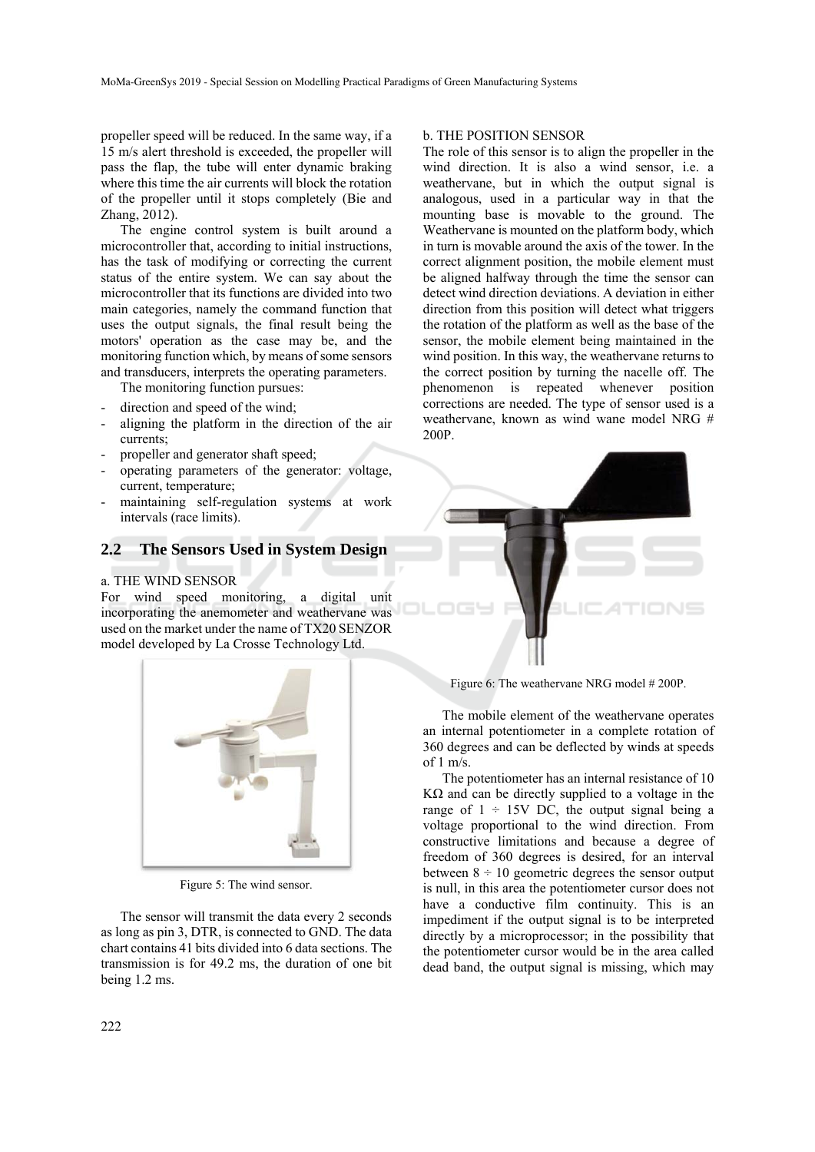propeller speed will be reduced. In the same way, if a 15 m/s alert threshold is exceeded, the propeller will pass the flap, the tube will enter dynamic braking where this time the air currents will block the rotation of the propeller until it stops completely (Bie and Zhang, 2012).

The engine control system is built around a microcontroller that, according to initial instructions, has the task of modifying or correcting the current status of the entire system. We can say about the microcontroller that its functions are divided into two main categories, namely the command function that uses the output signals, the final result being the motors' operation as the case may be, and the monitoring function which, by means of some sensors and transducers, interprets the operating parameters.

The monitoring function pursues:

- direction and speed of the wind;
- aligning the platform in the direction of the air currents;
- propeller and generator shaft speed;
- operating parameters of the generator: voltage, current, temperature;
- maintaining self-regulation systems at work intervals (race limits).

### **2.2 The Sensors Used in System Design**

### a. THE WIND SENSOR

For wind speed monitoring, a digital unit incorporating the anemometer and weathervane was used on the market under the name of TX20 SENZOR model developed by La Crosse Technology Ltd.



Figure 5: The wind sensor.

The sensor will transmit the data every 2 seconds as long as pin 3, DTR, is connected to GND. The data chart contains 41 bits divided into 6 data sections. The transmission is for 49.2 ms, the duration of one bit being 1.2 ms.

#### b. THE POSITION SENSOR

The role of this sensor is to align the propeller in the wind direction. It is also a wind sensor, i.e. a weathervane, but in which the output signal is analogous, used in a particular way in that the mounting base is movable to the ground. The Weathervane is mounted on the platform body, which in turn is movable around the axis of the tower. In the correct alignment position, the mobile element must be aligned halfway through the time the sensor can detect wind direction deviations. A deviation in either direction from this position will detect what triggers the rotation of the platform as well as the base of the sensor, the mobile element being maintained in the wind position. In this way, the weathervane returns to the correct position by turning the nacelle off. The phenomenon is repeated whenever position corrections are needed. The type of sensor used is a weathervane, known as wind wane model NRG # 200P.



Figure 6: The weathervane NRG model # 200P.

The mobile element of the weathervane operates an internal potentiometer in a complete rotation of 360 degrees and can be deflected by winds at speeds of  $1 \text{ m/s}$ .

The potentiometer has an internal resistance of 10 KΩ and can be directly supplied to a voltage in the range of  $1 \div 15V$  DC, the output signal being a voltage proportional to the wind direction. From constructive limitations and because a degree of freedom of 360 degrees is desired, for an interval between  $8 \div 10$  geometric degrees the sensor output is null, in this area the potentiometer cursor does not have a conductive film continuity. This is an impediment if the output signal is to be interpreted directly by a microprocessor; in the possibility that the potentiometer cursor would be in the area called dead band, the output signal is missing, which may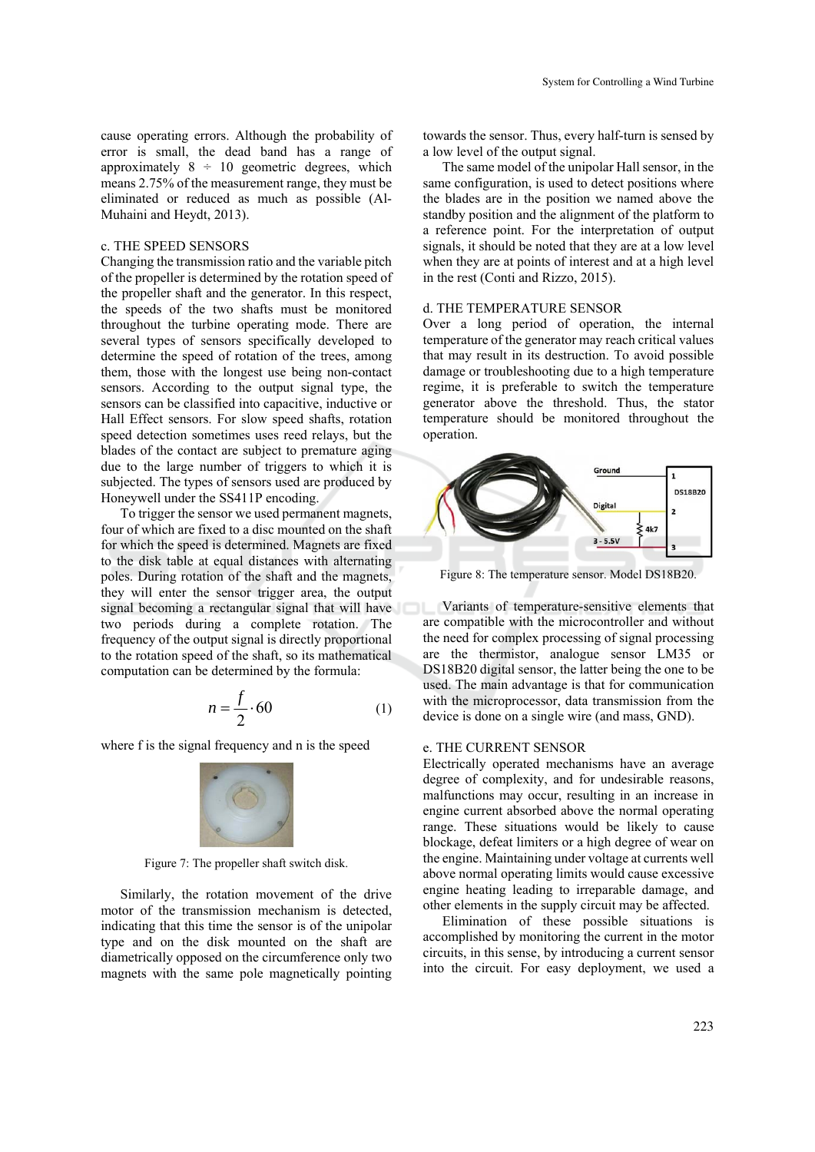cause operating errors. Although the probability of error is small, the dead band has a range of approximately  $8 \div 10$  geometric degrees, which means 2.75% of the measurement range, they must be eliminated or reduced as much as possible (Al-Muhaini and Heydt, 2013).

### c. THE SPEED SENSORS

Changing the transmission ratio and the variable pitch of the propeller is determined by the rotation speed of the propeller shaft and the generator. In this respect, the speeds of the two shafts must be monitored throughout the turbine operating mode. There are several types of sensors specifically developed to determine the speed of rotation of the trees, among them, those with the longest use being non-contact sensors. According to the output signal type, the sensors can be classified into capacitive, inductive or Hall Effect sensors. For slow speed shafts, rotation speed detection sometimes uses reed relays, but the blades of the contact are subject to premature aging due to the large number of triggers to which it is subjected. The types of sensors used are produced by Honeywell under the SS411P encoding.

To trigger the sensor we used permanent magnets, four of which are fixed to a disc mounted on the shaft for which the speed is determined. Magnets are fixed to the disk table at equal distances with alternating poles. During rotation of the shaft and the magnets, they will enter the sensor trigger area, the output signal becoming a rectangular signal that will have two periods during a complete rotation. The frequency of the output signal is directly proportional to the rotation speed of the shaft, so its mathematical computation can be determined by the formula:

$$
n = \frac{f}{2} \cdot 60\tag{1}
$$

where f is the signal frequency and n is the speed



Figure 7: The propeller shaft switch disk.

Similarly, the rotation movement of the drive motor of the transmission mechanism is detected, indicating that this time the sensor is of the unipolar type and on the disk mounted on the shaft are diametrically opposed on the circumference only two magnets with the same pole magnetically pointing

towards the sensor. Thus, every half-turn is sensed by a low level of the output signal.

The same model of the unipolar Hall sensor, in the same configuration, is used to detect positions where the blades are in the position we named above the standby position and the alignment of the platform to a reference point. For the interpretation of output signals, it should be noted that they are at a low level when they are at points of interest and at a high level in the rest (Conti and Rizzo, 2015).

### d. THE TEMPERATURE SENSOR

Over a long period of operation, the internal temperature of the generator may reach critical values that may result in its destruction. To avoid possible damage or troubleshooting due to a high temperature regime, it is preferable to switch the temperature generator above the threshold. Thus, the stator temperature should be monitored throughout the operation.



Figure 8: The temperature sensor. Model DS18B20.

Variants of temperature-sensitive elements that are compatible with the microcontroller and without the need for complex processing of signal processing are the thermistor, analogue sensor LM35 or DS18B20 digital sensor, the latter being the one to be used. The main advantage is that for communication with the microprocessor, data transmission from the device is done on a single wire (and mass, GND).

#### e. THE CURRENT SENSOR

Electrically operated mechanisms have an average degree of complexity, and for undesirable reasons, malfunctions may occur, resulting in an increase in engine current absorbed above the normal operating range. These situations would be likely to cause blockage, defeat limiters or a high degree of wear on the engine. Maintaining under voltage at currents well above normal operating limits would cause excessive engine heating leading to irreparable damage, and other elements in the supply circuit may be affected.

Elimination of these possible situations is accomplished by monitoring the current in the motor circuits, in this sense, by introducing a current sensor into the circuit. For easy deployment, we used a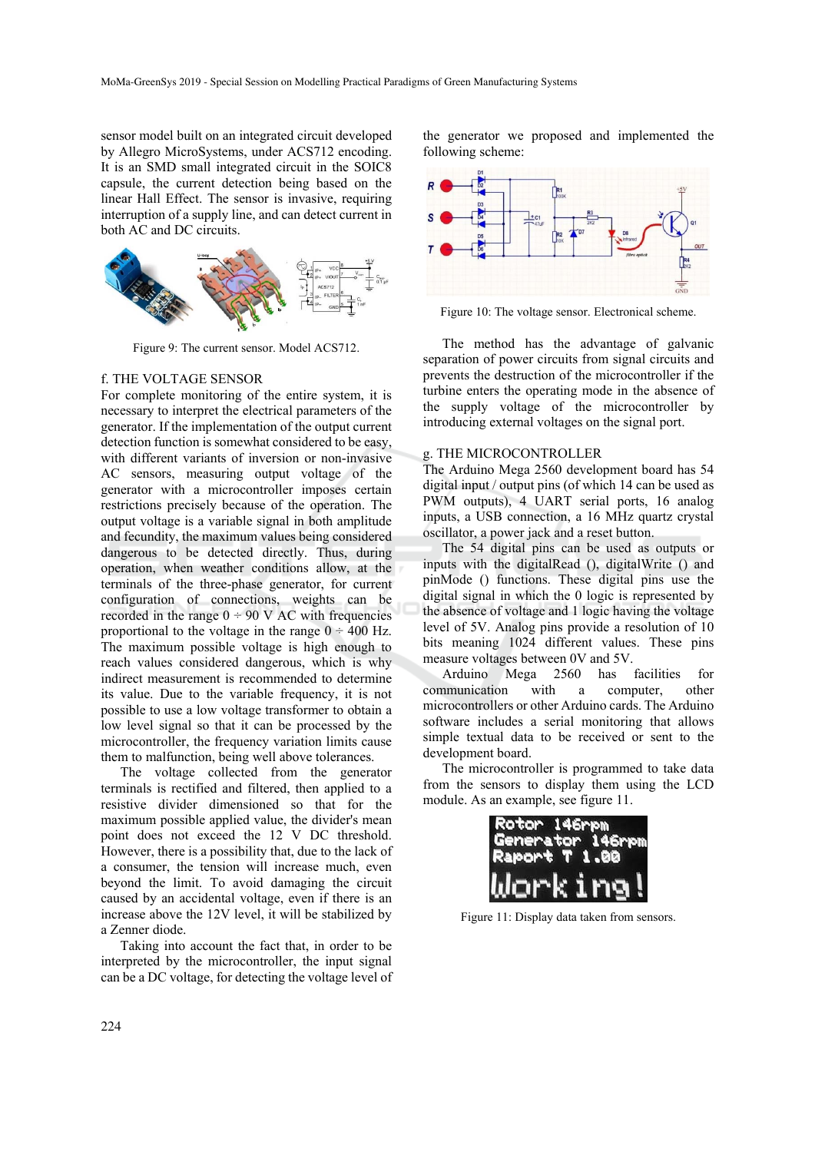sensor model built on an integrated circuit developed by Allegro MicroSystems, under ACS712 encoding. It is an SMD small integrated circuit in the SOIC8 capsule, the current detection being based on the linear Hall Effect. The sensor is invasive, requiring interruption of a supply line, and can detect current in both AC and DC circuits.



Figure 9: The current sensor. Model ACS712.

#### f. THE VOLTAGE SENSOR

For complete monitoring of the entire system, it is necessary to interpret the electrical parameters of the generator. If the implementation of the output current detection function is somewhat considered to be easy, with different variants of inversion or non-invasive AC sensors, measuring output voltage of the generator with a microcontroller imposes certain restrictions precisely because of the operation. The output voltage is a variable signal in both amplitude and fecundity, the maximum values being considered dangerous to be detected directly. Thus, during operation, when weather conditions allow, at the terminals of the three-phase generator, for current configuration of connections, weights can be recorded in the range  $0 \div 90$  V AC with frequencies proportional to the voltage in the range  $0 \div 400$  Hz. The maximum possible voltage is high enough to reach values considered dangerous, which is why indirect measurement is recommended to determine its value. Due to the variable frequency, it is not possible to use a low voltage transformer to obtain a low level signal so that it can be processed by the microcontroller, the frequency variation limits cause them to malfunction, being well above tolerances.

The voltage collected from the generator terminals is rectified and filtered, then applied to a resistive divider dimensioned so that for the maximum possible applied value, the divider's mean point does not exceed the 12 V DC threshold. However, there is a possibility that, due to the lack of a consumer, the tension will increase much, even beyond the limit. To avoid damaging the circuit caused by an accidental voltage, even if there is an increase above the 12V level, it will be stabilized by a Zenner diode.

Taking into account the fact that, in order to be interpreted by the microcontroller, the input signal can be a DC voltage, for detecting the voltage level of the generator we proposed and implemented the following scheme:



Figure 10: The voltage sensor. Electronical scheme.

The method has the advantage of galvanic separation of power circuits from signal circuits and prevents the destruction of the microcontroller if the turbine enters the operating mode in the absence of the supply voltage of the microcontroller by introducing external voltages on the signal port.

### g. THE MICROCONTROLLER

The Arduino Mega 2560 development board has 54 digital input / output pins (of which 14 can be used as PWM outputs), 4 UART serial ports, 16 analog inputs, a USB connection, a 16 MHz quartz crystal oscillator, a power jack and a reset button.

The 54 digital pins can be used as outputs or inputs with the digitalRead (), digitalWrite () and pinMode () functions. These digital pins use the digital signal in which the 0 logic is represented by the absence of voltage and 1 logic having the voltage level of 5V. Analog pins provide a resolution of 10 bits meaning 1024 different values. These pins measure voltages between 0V and 5V.

Arduino Mega 2560 has facilities for communication with a computer, other microcontrollers or other Arduino cards. The Arduino software includes a serial monitoring that allows simple textual data to be received or sent to the development board.

The microcontroller is programmed to take data from the sensors to display them using the LCD module. As an example, see figure 11.

| Rotor 146rpm         |  |  |
|----------------------|--|--|
| Generator 146rpm     |  |  |
| <b>Raport T 1.00</b> |  |  |
| Working!             |  |  |

Figure 11: Display data taken from sensors.